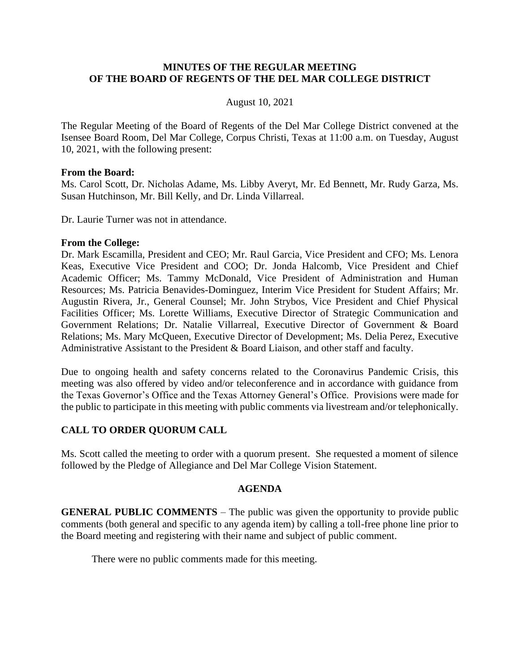### **MINUTES OF THE REGULAR MEETING OF THE BOARD OF REGENTS OF THE DEL MAR COLLEGE DISTRICT**

### August 10, 2021

The Regular Meeting of the Board of Regents of the Del Mar College District convened at the Isensee Board Room, Del Mar College, Corpus Christi, Texas at 11:00 a.m. on Tuesday, August 10, 2021, with the following present:

#### **From the Board:**

Ms. Carol Scott, Dr. Nicholas Adame, Ms. Libby Averyt, Mr. Ed Bennett, Mr. Rudy Garza, Ms. Susan Hutchinson, Mr. Bill Kelly, and Dr. Linda Villarreal.

Dr. Laurie Turner was not in attendance.

#### **From the College:**

Dr. Mark Escamilla, President and CEO; Mr. Raul Garcia, Vice President and CFO; Ms. Lenora Keas, Executive Vice President and COO; Dr. Jonda Halcomb, Vice President and Chief Academic Officer; Ms. Tammy McDonald, Vice President of Administration and Human Resources; Ms. Patricia Benavides-Dominguez, Interim Vice President for Student Affairs; Mr. Augustin Rivera, Jr., General Counsel; Mr. John Strybos, Vice President and Chief Physical Facilities Officer; Ms. Lorette Williams, Executive Director of Strategic Communication and Government Relations; Dr. Natalie Villarreal, Executive Director of Government & Board Relations; Ms. Mary McQueen, Executive Director of Development; Ms. Delia Perez, Executive Administrative Assistant to the President & Board Liaison, and other staff and faculty.

Due to ongoing health and safety concerns related to the Coronavirus Pandemic Crisis, this meeting was also offered by video and/or teleconference and in accordance with guidance from the Texas Governor's Office and the Texas Attorney General's Office. Provisions were made for the public to participate in this meeting with public comments via livestream and/or telephonically.

## **CALL TO ORDER QUORUM CALL**

Ms. Scott called the meeting to order with a quorum present. She requested a moment of silence followed by the Pledge of Allegiance and Del Mar College Vision Statement.

### **AGENDA**

**GENERAL PUBLIC COMMENTS** – The public was given the opportunity to provide public comments (both general and specific to any agenda item) by calling a toll-free phone line prior to the Board meeting and registering with their name and subject of public comment.

There were no public comments made for this meeting.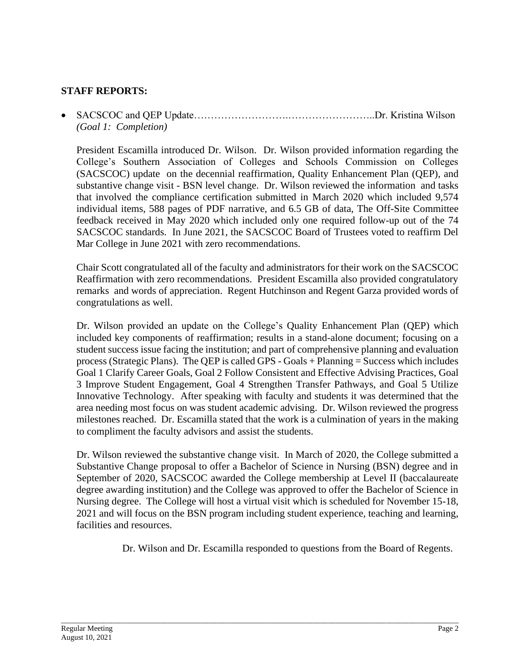## **STAFF REPORTS:**

• SACSCOC and QEP Update……………………….……………………..Dr. Kristina Wilson *(Goal 1: Completion)*

President Escamilla introduced Dr. Wilson. Dr. Wilson provided information regarding the College's Southern Association of Colleges and Schools Commission on Colleges (SACSCOC) update on the decennial reaffirmation, Quality Enhancement Plan (QEP), and substantive change visit - BSN level change. Dr. Wilson reviewed the information and tasks that involved the compliance certification submitted in March 2020 which included 9,574 individual items, 588 pages of PDF narrative, and 6.5 GB of data, The Off-Site Committee feedback received in May 2020 which included only one required follow-up out of the 74 SACSCOC standards. In June 2021, the SACSCOC Board of Trustees voted to reaffirm Del Mar College in June 2021 with zero recommendations.

Chair Scott congratulated all of the faculty and administrators for their work on the SACSCOC Reaffirmation with zero recommendations. President Escamilla also provided congratulatory remarks and words of appreciation. Regent Hutchinson and Regent Garza provided words of congratulations as well.

Dr. Wilson provided an update on the College's Quality Enhancement Plan (QEP) which included key components of reaffirmation; results in a stand-alone document; focusing on a student success issue facing the institution; and part of comprehensive planning and evaluation process (Strategic Plans). The QEP is called GPS - Goals + Planning = Success which includes Goal 1 Clarify Career Goals, Goal 2 Follow Consistent and Effective Advising Practices, Goal 3 Improve Student Engagement, Goal 4 Strengthen Transfer Pathways, and Goal 5 Utilize Innovative Technology. After speaking with faculty and students it was determined that the area needing most focus on was student academic advising. Dr. Wilson reviewed the progress milestones reached. Dr. Escamilla stated that the work is a culmination of years in the making to compliment the faculty advisors and assist the students.

Dr. Wilson reviewed the substantive change visit. In March of 2020, the College submitted a Substantive Change proposal to offer a Bachelor of Science in Nursing (BSN) degree and in September of 2020, SACSCOC awarded the College membership at Level II (baccalaureate degree awarding institution) and the College was approved to offer the Bachelor of Science in Nursing degree. The College will host a virtual visit which is scheduled for November 15-18, 2021 and will focus on the BSN program including student experience, teaching and learning, facilities and resources.

\_\_\_\_\_\_\_\_\_\_\_\_\_\_\_\_\_\_\_\_\_\_\_\_\_\_\_\_\_\_\_\_\_\_\_\_\_\_\_\_\_\_\_\_\_\_\_\_\_\_\_\_\_\_\_\_\_\_\_\_\_\_\_\_\_\_\_\_\_\_\_\_\_\_\_\_\_\_\_\_\_\_\_\_\_\_\_\_\_\_\_\_\_\_\_\_\_\_\_\_\_\_\_\_

Dr. Wilson and Dr. Escamilla responded to questions from the Board of Regents.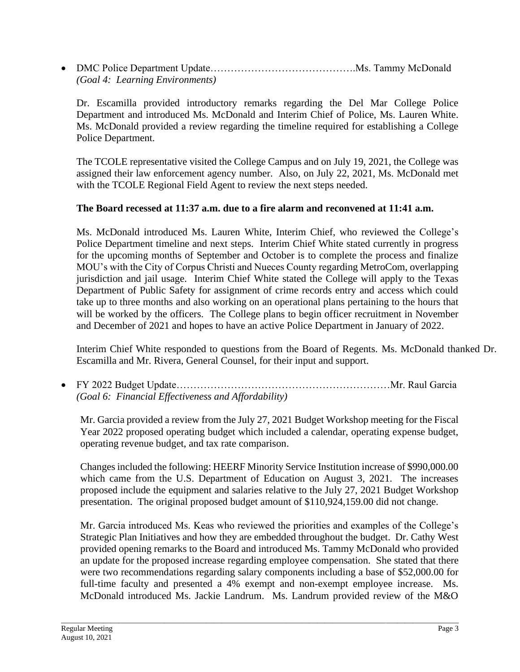• DMC Police Department Update…………………………………….Ms. Tammy McDonald *(Goal 4: Learning Environments)*

Dr. Escamilla provided introductory remarks regarding the Del Mar College Police Department and introduced Ms. McDonald and Interim Chief of Police, Ms. Lauren White. Ms. McDonald provided a review regarding the timeline required for establishing a College Police Department.

The TCOLE representative visited the College Campus and on July 19, 2021, the College was assigned their law enforcement agency number. Also, on July 22, 2021, Ms. McDonald met with the TCOLE Regional Field Agent to review the next steps needed.

# **The Board recessed at 11:37 a.m. due to a fire alarm and reconvened at 11:41 a.m.**

Ms. McDonald introduced Ms. Lauren White, Interim Chief, who reviewed the College's Police Department timeline and next steps. Interim Chief White stated currently in progress for the upcoming months of September and October is to complete the process and finalize MOU's with the City of Corpus Christi and Nueces County regarding MetroCom, overlapping jurisdiction and jail usage. Interim Chief White stated the College will apply to the Texas Department of Public Safety for assignment of crime records entry and access which could take up to three months and also working on an operational plans pertaining to the hours that will be worked by the officers. The College plans to begin officer recruitment in November and December of 2021 and hopes to have an active Police Department in January of 2022.

Interim Chief White responded to questions from the Board of Regents. Ms. McDonald thanked Dr. Escamilla and Mr. Rivera, General Counsel, for their input and support.

• FY 2022 Budget Update………………………………………………………Mr. Raul Garcia *(Goal 6: Financial Effectiveness and Affordability)*

Mr. Garcia provided a review from the July 27, 2021 Budget Workshop meeting for the Fiscal Year 2022 proposed operating budget which included a calendar, operating expense budget, operating revenue budget, and tax rate comparison.

Changes included the following: HEERF Minority Service Institution increase of \$990,000.00 which came from the U.S. Department of Education on August 3, 2021. The increases proposed include the equipment and salaries relative to the July 27, 2021 Budget Workshop presentation. The original proposed budget amount of \$110,924,159.00 did not change.

Mr. Garcia introduced Ms. Keas who reviewed the priorities and examples of the College's Strategic Plan Initiatives and how they are embedded throughout the budget. Dr. Cathy West provided opening remarks to the Board and introduced Ms. Tammy McDonald who provided an update for the proposed increase regarding employee compensation. She stated that there were two recommendations regarding salary components including a base of \$52,000.00 for full-time faculty and presented a 4% exempt and non-exempt employee increase. Ms. McDonald introduced Ms. Jackie Landrum. Ms. Landrum provided review of the M&O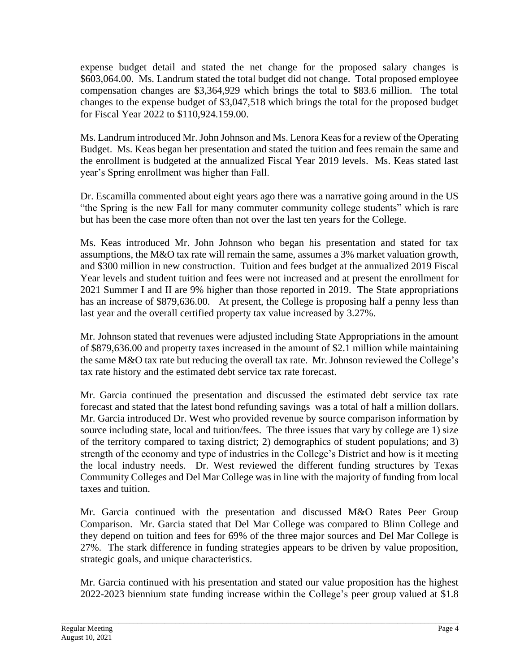expense budget detail and stated the net change for the proposed salary changes is \$603,064.00. Ms. Landrum stated the total budget did not change. Total proposed employee compensation changes are \$3,364,929 which brings the total to \$83.6 million. The total changes to the expense budget of \$3,047,518 which brings the total for the proposed budget for Fiscal Year 2022 to \$110,924.159.00.

Ms. Landrum introduced Mr. John Johnson and Ms. Lenora Keas for a review of the Operating Budget. Ms. Keas began her presentation and stated the tuition and fees remain the same and the enrollment is budgeted at the annualized Fiscal Year 2019 levels. Ms. Keas stated last year's Spring enrollment was higher than Fall.

Dr. Escamilla commented about eight years ago there was a narrative going around in the US "the Spring is the new Fall for many commuter community college students" which is rare but has been the case more often than not over the last ten years for the College.

Ms. Keas introduced Mr. John Johnson who began his presentation and stated for tax assumptions, the M&O tax rate will remain the same, assumes a 3% market valuation growth, and \$300 million in new construction. Tuition and fees budget at the annualized 2019 Fiscal Year levels and student tuition and fees were not increased and at present the enrollment for 2021 Summer I and II are 9% higher than those reported in 2019. The State appropriations has an increase of \$879,636.00. At present, the College is proposing half a penny less than last year and the overall certified property tax value increased by 3.27%.

Mr. Johnson stated that revenues were adjusted including State Appropriations in the amount of \$879,636.00 and property taxes increased in the amount of \$2.1 million while maintaining the same M&O tax rate but reducing the overall tax rate. Mr. Johnson reviewed the College's tax rate history and the estimated debt service tax rate forecast.

Mr. Garcia continued the presentation and discussed the estimated debt service tax rate forecast and stated that the latest bond refunding savings was a total of half a million dollars. Mr. Garcia introduced Dr. West who provided revenue by source comparison information by source including state, local and tuition/fees. The three issues that vary by college are 1) size of the territory compared to taxing district; 2) demographics of student populations; and 3) strength of the economy and type of industries in the College's District and how is it meeting the local industry needs. Dr. West reviewed the different funding structures by Texas Community Colleges and Del Mar College was in line with the majority of funding from local taxes and tuition.

Mr. Garcia continued with the presentation and discussed M&O Rates Peer Group Comparison. Mr. Garcia stated that Del Mar College was compared to Blinn College and they depend on tuition and fees for 69% of the three major sources and Del Mar College is 27%. The stark difference in funding strategies appears to be driven by value proposition, strategic goals, and unique characteristics.

Mr. Garcia continued with his presentation and stated our value proposition has the highest 2022-2023 biennium state funding increase within the College's peer group valued at \$1.8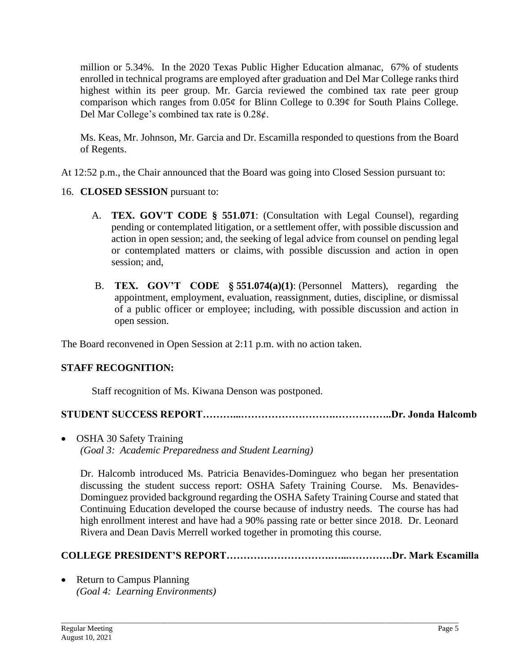million or 5.34%. In the 2020 Texas Public Higher Education almanac, 67% of students enrolled in technical programs are employed after graduation and Del Mar College ranks third highest within its peer group. Mr. Garcia reviewed the combined tax rate peer group comparison which ranges from  $0.05\phi$  for Blinn College to  $0.39\phi$  for South Plains College. Del Mar College's combined tax rate is 0.28¢.

Ms. Keas, Mr. Johnson, Mr. Garcia and Dr. Escamilla responded to questions from the Board of Regents.

At 12:52 p.m., the Chair announced that the Board was going into Closed Session pursuant to:

# 16. **CLOSED SESSION** pursuant to:

- A. **TEX. GOV'T CODE § 551.071**: (Consultation with Legal Counsel), regarding pending or contemplated litigation, or a settlement offer, with possible discussion and action in open session; and, the seeking of legal advice from counsel on pending legal or contemplated matters or claims, with possible discussion and action in open session; and,
- B. **TEX. GOV'T CODE § 551.074(a)(1)**: (Personnel Matters), regarding the appointment, employment, evaluation, reassignment, duties, discipline, or dismissal of a public officer or employee; including, with possible discussion and action in open session.

The Board reconvened in Open Session at 2:11 p.m. with no action taken.

# **STAFF RECOGNITION:**

Staff recognition of Ms. Kiwana Denson was postponed.

# **STUDENT SUCCESS REPORT………...……………………….……………..Dr. Jonda Halcomb**

• OSHA 30 Safety Training *(Goal 3: Academic Preparedness and Student Learning)*

Dr. Halcomb introduced Ms. Patricia Benavides-Dominguez who began her presentation discussing the student success report: OSHA Safety Training Course. Ms. Benavides-Dominguez provided background regarding the OSHA Safety Training Course and stated that Continuing Education developed the course because of industry needs. The course has had high enrollment interest and have had a 90% passing rate or better since 2018. Dr. Leonard Rivera and Dean Davis Merrell worked together in promoting this course.

# **COLLEGE PRESIDENT'S REPORT………………………….…...………….Dr. Mark Escamilla**

\_\_\_\_\_\_\_\_\_\_\_\_\_\_\_\_\_\_\_\_\_\_\_\_\_\_\_\_\_\_\_\_\_\_\_\_\_\_\_\_\_\_\_\_\_\_\_\_\_\_\_\_\_\_\_\_\_\_\_\_\_\_\_\_\_\_\_\_\_\_\_\_\_\_\_\_\_\_\_\_\_\_\_\_\_\_\_\_\_\_\_\_\_\_\_\_\_\_\_\_\_\_\_\_

• Return to Campus Planning *(Goal 4: Learning Environments)*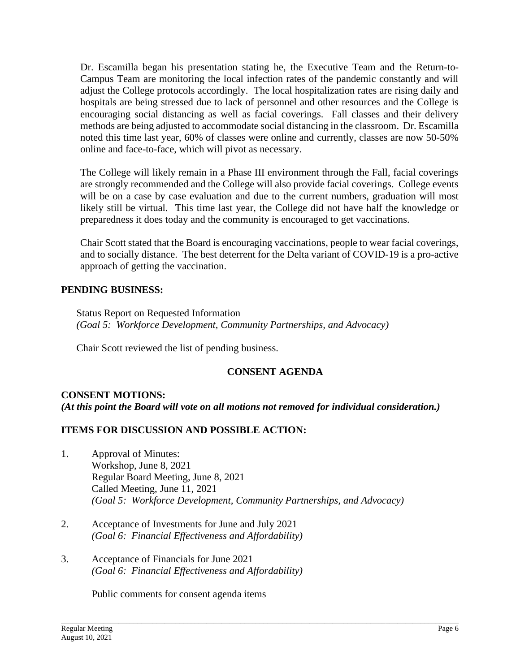Dr. Escamilla began his presentation stating he, the Executive Team and the Return-to-Campus Team are monitoring the local infection rates of the pandemic constantly and will adjust the College protocols accordingly. The local hospitalization rates are rising daily and hospitals are being stressed due to lack of personnel and other resources and the College is encouraging social distancing as well as facial coverings. Fall classes and their delivery methods are being adjusted to accommodate social distancing in the classroom. Dr. Escamilla noted this time last year, 60% of classes were online and currently, classes are now 50-50% online and face-to-face, which will pivot as necessary.

The College will likely remain in a Phase III environment through the Fall, facial coverings are strongly recommended and the College will also provide facial coverings. College events will be on a case by case evaluation and due to the current numbers, graduation will most likely still be virtual. This time last year, the College did not have half the knowledge or preparedness it does today and the community is encouraged to get vaccinations.

Chair Scott stated that the Board is encouraging vaccinations, people to wear facial coverings, and to socially distance. The best deterrent for the Delta variant of COVID-19 is a pro-active approach of getting the vaccination.

## **PENDING BUSINESS:**

Status Report on Requested Information *(Goal 5: Workforce Development, Community Partnerships, and Advocacy)*

Chair Scott reviewed the list of pending business.

# **CONSENT AGENDA**

# **CONSENT MOTIONS:**

*(At this point the Board will vote on all motions not removed for individual consideration.)*

\_\_\_\_\_\_\_\_\_\_\_\_\_\_\_\_\_\_\_\_\_\_\_\_\_\_\_\_\_\_\_\_\_\_\_\_\_\_\_\_\_\_\_\_\_\_\_\_\_\_\_\_\_\_\_\_\_\_\_\_\_\_\_\_\_\_\_\_\_\_\_\_\_\_\_\_\_\_\_\_\_\_\_\_\_\_\_\_\_\_\_\_\_\_\_\_\_\_\_\_\_\_\_\_

# **ITEMS FOR DISCUSSION AND POSSIBLE ACTION:**

- 1. Approval of Minutes: Workshop, June 8, 2021 Regular Board Meeting, June 8, 2021 Called Meeting, June 11, 2021 *(Goal 5: Workforce Development, Community Partnerships, and Advocacy)*
- 2. Acceptance of Investments for June and July 2021 *(Goal 6: Financial Effectiveness and Affordability)*
- 3. Acceptance of Financials for June 2021 *(Goal 6: Financial Effectiveness and Affordability)*

Public comments for consent agenda items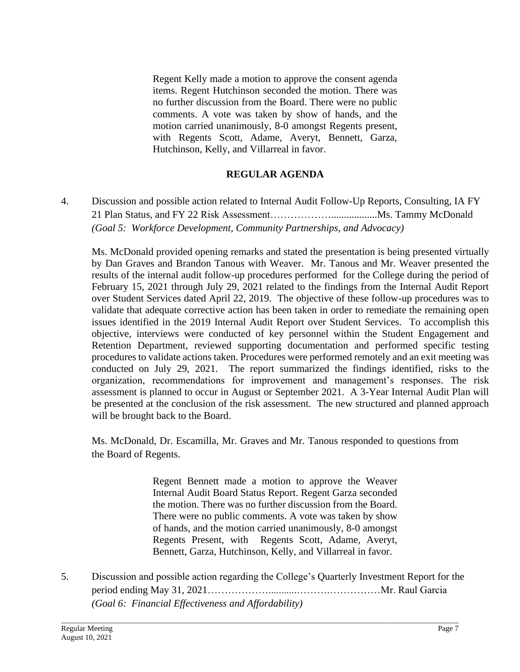Regent Kelly made a motion to approve the consent agenda items. Regent Hutchinson seconded the motion. There was no further discussion from the Board. There were no public comments. A vote was taken by show of hands, and the motion carried unanimously, 8-0 amongst Regents present, with Regents Scott, Adame, Averyt, Bennett, Garza, Hutchinson, Kelly, and Villarreal in favor.

## **REGULAR AGENDA**

4. Discussion and possible action related to Internal Audit Follow-Up Reports, Consulting, IA FY 21 Plan Status, and FY 22 Risk Assessment………………..................Ms. Tammy McDonald *(Goal 5: Workforce Development, Community Partnerships, and Advocacy)*

Ms. McDonald provided opening remarks and stated the presentation is being presented virtually by Dan Graves and Brandon Tanous with Weaver. Mr. Tanous and Mr. Weaver presented the results of the internal audit follow-up procedures performed for the College during the period of February 15, 2021 through July 29, 2021 related to the findings from the Internal Audit Report over Student Services dated April 22, 2019. The objective of these follow-up procedures was to validate that adequate corrective action has been taken in order to remediate the remaining open issues identified in the 2019 Internal Audit Report over Student Services. To accomplish this objective, interviews were conducted of key personnel within the Student Engagement and Retention Department, reviewed supporting documentation and performed specific testing procedures to validate actions taken. Procedures were performed remotely and an exit meeting was conducted on July 29, 2021. The report summarized the findings identified, risks to the organization, recommendations for improvement and management's responses. The risk assessment is planned to occur in August or September 2021. A 3-Year Internal Audit Plan will be presented at the conclusion of the risk assessment. The new structured and planned approach will be brought back to the Board.

Ms. McDonald, Dr. Escamilla, Mr. Graves and Mr. Tanous responded to questions from the Board of Regents.

> Regent Bennett made a motion to approve the Weaver Internal Audit Board Status Report. Regent Garza seconded the motion. There was no further discussion from the Board. There were no public comments. A vote was taken by show of hands, and the motion carried unanimously, 8-0 amongst Regents Present, with Regents Scott, Adame, Averyt, Bennett, Garza, Hutchinson, Kelly, and Villarreal in favor.

5. Discussion and possible action regarding the College's Quarterly Investment Report for the period ending May 31, 2021………………...........……….……………Mr. Raul Garcia *(Goal 6: Financial Effectiveness and Affordability)*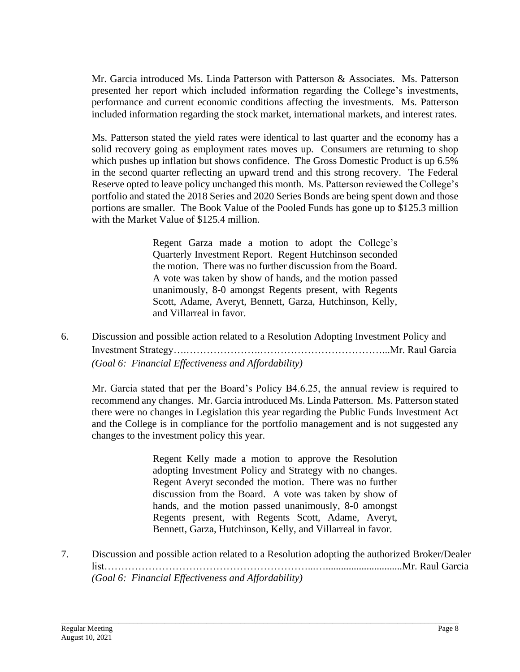Mr. Garcia introduced Ms. Linda Patterson with Patterson & Associates. Ms. Patterson presented her report which included information regarding the College's investments, performance and current economic conditions affecting the investments. Ms. Patterson included information regarding the stock market, international markets, and interest rates.

Ms. Patterson stated the yield rates were identical to last quarter and the economy has a solid recovery going as employment rates moves up. Consumers are returning to shop which pushes up inflation but shows confidence. The Gross Domestic Product is up 6.5% in the second quarter reflecting an upward trend and this strong recovery. The Federal Reserve opted to leave policy unchanged this month. Ms. Patterson reviewed the College's portfolio and stated the 2018 Series and 2020 Series Bonds are being spent down and those portions are smaller. The Book Value of the Pooled Funds has gone up to \$125.3 million with the Market Value of \$125.4 million.

> Regent Garza made a motion to adopt the College's Quarterly Investment Report. Regent Hutchinson seconded the motion. There was no further discussion from the Board. A vote was taken by show of hands, and the motion passed unanimously, 8-0 amongst Regents present, with Regents Scott, Adame, Averyt, Bennett, Garza, Hutchinson, Kelly, and Villarreal in favor.

6. Discussion and possible action related to a Resolution Adopting Investment Policy and Investment Strategy….………………….………………………………...Mr. Raul Garcia *(Goal 6: Financial Effectiveness and Affordability)*

Mr. Garcia stated that per the Board's Policy B4.6.25, the annual review is required to recommend any changes. Mr. Garcia introduced Ms. Linda Patterson. Ms. Patterson stated there were no changes in Legislation this year regarding the Public Funds Investment Act and the College is in compliance for the portfolio management and is not suggested any changes to the investment policy this year.

> Regent Kelly made a motion to approve the Resolution adopting Investment Policy and Strategy with no changes. Regent Averyt seconded the motion. There was no further discussion from the Board. A vote was taken by show of hands, and the motion passed unanimously, 8-0 amongst Regents present, with Regents Scott, Adame, Averyt, Bennett, Garza, Hutchinson, Kelly, and Villarreal in favor.

7. Discussion and possible action related to a Resolution adopting the authorized Broker/Dealer list……………………………………………………...…..............................Mr. Raul Garcia *(Goal 6: Financial Effectiveness and Affordability)*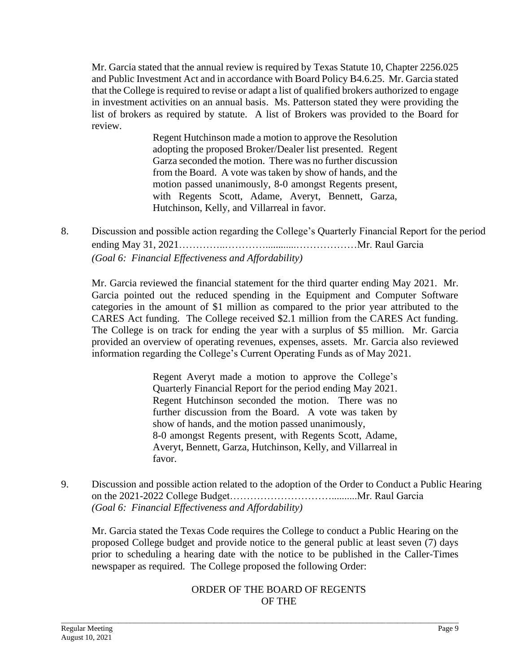Mr. Garcia stated that the annual review is required by Texas Statute 10, Chapter 2256.025 and Public Investment Act and in accordance with Board Policy B4.6.25. Mr. Garcia stated that the College is required to revise or adapt a list of qualified brokers authorized to engage in investment activities on an annual basis. Ms. Patterson stated they were providing the list of brokers as required by statute. A list of Brokers was provided to the Board for review.

> Regent Hutchinson made a motion to approve the Resolution adopting the proposed Broker/Dealer list presented. Regent Garza seconded the motion. There was no further discussion from the Board. A vote was taken by show of hands, and the motion passed unanimously, 8-0 amongst Regents present, with Regents Scott, Adame, Averyt, Bennett, Garza, Hutchinson, Kelly, and Villarreal in favor.

8. Discussion and possible action regarding the College's Quarterly Financial Report for the period ending May 31, 2021…………..…………............………………Mr. Raul Garcia *(Goal 6: Financial Effectiveness and Affordability)*

Mr. Garcia reviewed the financial statement for the third quarter ending May 2021. Mr. Garcia pointed out the reduced spending in the Equipment and Computer Software categories in the amount of \$1 million as compared to the prior year attributed to the CARES Act funding. The College received \$2.1 million from the CARES Act funding. The College is on track for ending the year with a surplus of \$5 million. Mr. Garcia provided an overview of operating revenues, expenses, assets. Mr. Garcia also reviewed information regarding the College's Current Operating Funds as of May 2021.

> Regent Averyt made a motion to approve the College's Quarterly Financial Report for the period ending May 2021. Regent Hutchinson seconded the motion. There was no further discussion from the Board. A vote was taken by show of hands, and the motion passed unanimously, 8-0 amongst Regents present, with Regents Scott, Adame, Averyt, Bennett, Garza, Hutchinson, Kelly, and Villarreal in favor.

9. Discussion and possible action related to the adoption of the Order to Conduct a Public Hearing on the 2021-2022 College Budget…………………………..........Mr. Raul Garcia *(Goal 6: Financial Effectiveness and Affordability)*

Mr. Garcia stated the Texas Code requires the College to conduct a Public Hearing on the proposed College budget and provide notice to the general public at least seven (7) days prior to scheduling a hearing date with the notice to be published in the Caller-Times newspaper as required. The College proposed the following Order:

### ORDER OF THE BOARD OF REGENTS OF THE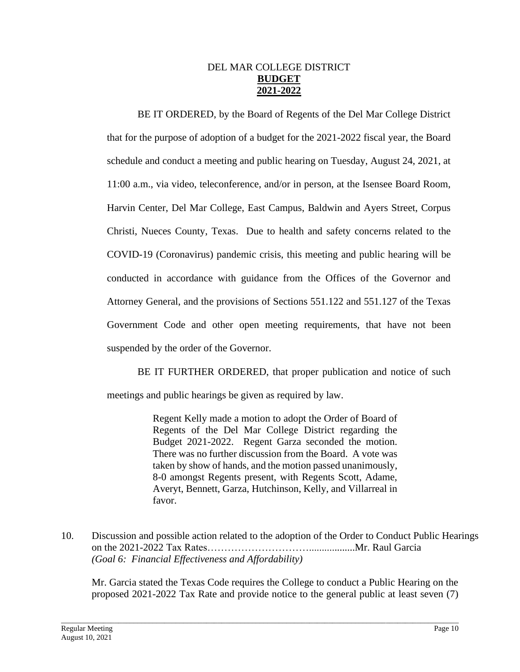### DEL MAR COLLEGE DISTRICT **BUDGET 2021-2022**

BE IT ORDERED, by the Board of Regents of the Del Mar College District that for the purpose of adoption of a budget for the 2021-2022 fiscal year, the Board schedule and conduct a meeting and public hearing on Tuesday, August 24, 2021, at 11:00 a.m., via video, teleconference, and/or in person, at the Isensee Board Room, Harvin Center, Del Mar College, East Campus, Baldwin and Ayers Street, Corpus Christi, Nueces County, Texas. Due to health and safety concerns related to the COVID-19 (Coronavirus) pandemic crisis, this meeting and public hearing will be conducted in accordance with guidance from the Offices of the Governor and Attorney General, and the provisions of Sections 551.122 and 551.127 of the Texas Government Code and other open meeting requirements, that have not been suspended by the order of the Governor.

BE IT FURTHER ORDERED, that proper publication and notice of such

meetings and public hearings be given as required by law.

Regent Kelly made a motion to adopt the Order of Board of Regents of the Del Mar College District regarding the Budget 2021-2022. Regent Garza seconded the motion. There was no further discussion from the Board. A vote was taken by show of hands, and the motion passed unanimously, 8-0 amongst Regents present, with Regents Scott, Adame, Averyt, Bennett, Garza, Hutchinson, Kelly, and Villarreal in favor.

10. Discussion and possible action related to the adoption of the Order to Conduct Public Hearings on the 2021-2022 Tax Rates…………………………..................Mr. Raul Garcia *(Goal 6: Financial Effectiveness and Affordability)*

Mr. Garcia stated the Texas Code requires the College to conduct a Public Hearing on the proposed 2021-2022 Tax Rate and provide notice to the general public at least seven (7)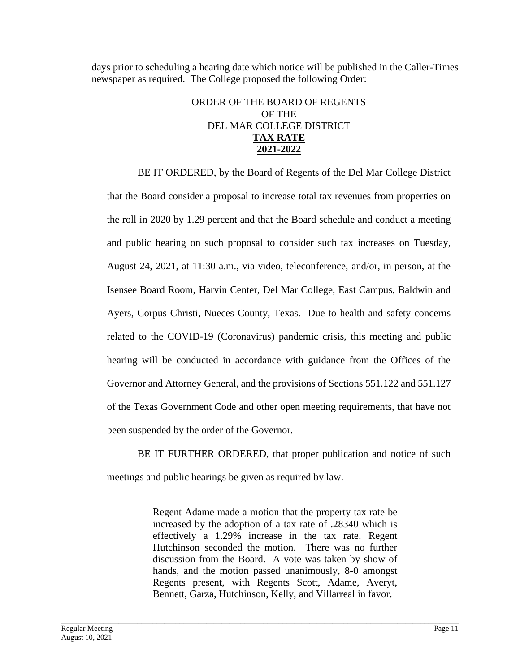days prior to scheduling a hearing date which notice will be published in the Caller-Times newspaper as required. The College proposed the following Order:

## ORDER OF THE BOARD OF REGENTS OF THE DEL MAR COLLEGE DISTRICT **TAX RATE 2021-2022**

BE IT ORDERED, by the Board of Regents of the Del Mar College District that the Board consider a proposal to increase total tax revenues from properties on the roll in 2020 by 1.29 percent and that the Board schedule and conduct a meeting and public hearing on such proposal to consider such tax increases on Tuesday, August 24, 2021, at 11:30 a.m., via video, teleconference, and/or, in person, at the Isensee Board Room, Harvin Center, Del Mar College, East Campus, Baldwin and Ayers, Corpus Christi, Nueces County, Texas. Due to health and safety concerns related to the COVID-19 (Coronavirus) pandemic crisis, this meeting and public hearing will be conducted in accordance with guidance from the Offices of the Governor and Attorney General, and the provisions of Sections 551.122 and 551.127 of the Texas Government Code and other open meeting requirements, that have not been suspended by the order of the Governor.

BE IT FURTHER ORDERED, that proper publication and notice of such meetings and public hearings be given as required by law.

> Regent Adame made a motion that the property tax rate be increased by the adoption of a tax rate of .28340 which is effectively a 1.29% increase in the tax rate. Regent Hutchinson seconded the motion. There was no further discussion from the Board. A vote was taken by show of hands, and the motion passed unanimously, 8-0 amongst Regents present, with Regents Scott, Adame, Averyt, Bennett, Garza, Hutchinson, Kelly, and Villarreal in favor.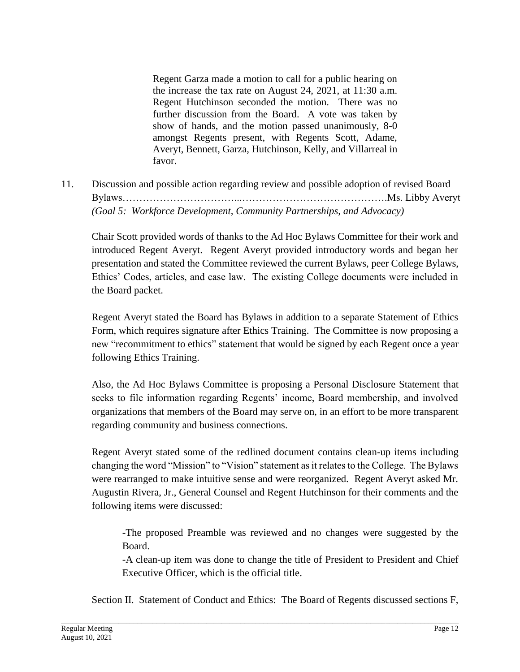Regent Garza made a motion to call for a public hearing on the increase the tax rate on August 24, 2021, at 11:30 a.m. Regent Hutchinson seconded the motion. There was no further discussion from the Board. A vote was taken by show of hands, and the motion passed unanimously, 8-0 amongst Regents present, with Regents Scott, Adame, Averyt, Bennett, Garza, Hutchinson, Kelly, and Villarreal in favor.

11. Discussion and possible action regarding review and possible adoption of revised Board Bylaws……………………………...…………………………………….Ms. Libby Averyt *(Goal 5: Workforce Development, Community Partnerships, and Advocacy)*

Chair Scott provided words of thanks to the Ad Hoc Bylaws Committee for their work and introduced Regent Averyt. Regent Averyt provided introductory words and began her presentation and stated the Committee reviewed the current Bylaws, peer College Bylaws, Ethics' Codes, articles, and case law. The existing College documents were included in the Board packet.

Regent Averyt stated the Board has Bylaws in addition to a separate Statement of Ethics Form, which requires signature after Ethics Training. The Committee is now proposing a new "recommitment to ethics" statement that would be signed by each Regent once a year following Ethics Training.

Also, the Ad Hoc Bylaws Committee is proposing a Personal Disclosure Statement that seeks to file information regarding Regents' income, Board membership, and involved organizations that members of the Board may serve on, in an effort to be more transparent regarding community and business connections.

Regent Averyt stated some of the redlined document contains clean-up items including changing the word "Mission" to "Vision" statement as it relates to the College. The Bylaws were rearranged to make intuitive sense and were reorganized. Regent Averyt asked Mr. Augustin Rivera, Jr., General Counsel and Regent Hutchinson for their comments and the following items were discussed:

-The proposed Preamble was reviewed and no changes were suggested by the Board.

-A clean-up item was done to change the title of President to President and Chief Executive Officer, which is the official title.

Section II. Statement of Conduct and Ethics: The Board of Regents discussed sections F,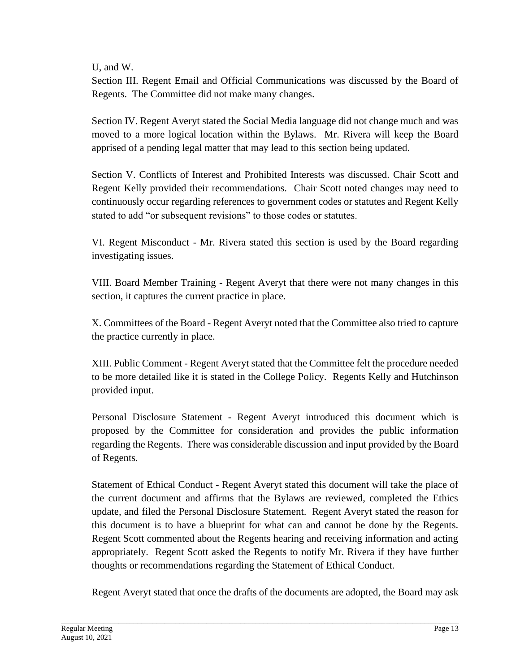# U, and W.

Section III. Regent Email and Official Communications was discussed by the Board of Regents. The Committee did not make many changes.

Section IV. Regent Averyt stated the Social Media language did not change much and was moved to a more logical location within the Bylaws. Mr. Rivera will keep the Board apprised of a pending legal matter that may lead to this section being updated.

Section V. Conflicts of Interest and Prohibited Interests was discussed. Chair Scott and Regent Kelly provided their recommendations. Chair Scott noted changes may need to continuously occur regarding references to government codes or statutes and Regent Kelly stated to add "or subsequent revisions" to those codes or statutes.

VI. Regent Misconduct - Mr. Rivera stated this section is used by the Board regarding investigating issues.

VIII. Board Member Training - Regent Averyt that there were not many changes in this section, it captures the current practice in place.

X. Committees of the Board - Regent Averyt noted that the Committee also tried to capture the practice currently in place.

XIII. Public Comment - Regent Averyt stated that the Committee felt the procedure needed to be more detailed like it is stated in the College Policy. Regents Kelly and Hutchinson provided input.

Personal Disclosure Statement - Regent Averyt introduced this document which is proposed by the Committee for consideration and provides the public information regarding the Regents. There was considerable discussion and input provided by the Board of Regents.

Statement of Ethical Conduct - Regent Averyt stated this document will take the place of the current document and affirms that the Bylaws are reviewed, completed the Ethics update, and filed the Personal Disclosure Statement. Regent Averyt stated the reason for this document is to have a blueprint for what can and cannot be done by the Regents. Regent Scott commented about the Regents hearing and receiving information and acting appropriately. Regent Scott asked the Regents to notify Mr. Rivera if they have further thoughts or recommendations regarding the Statement of Ethical Conduct.

Regent Averyt stated that once the drafts of the documents are adopted, the Board may ask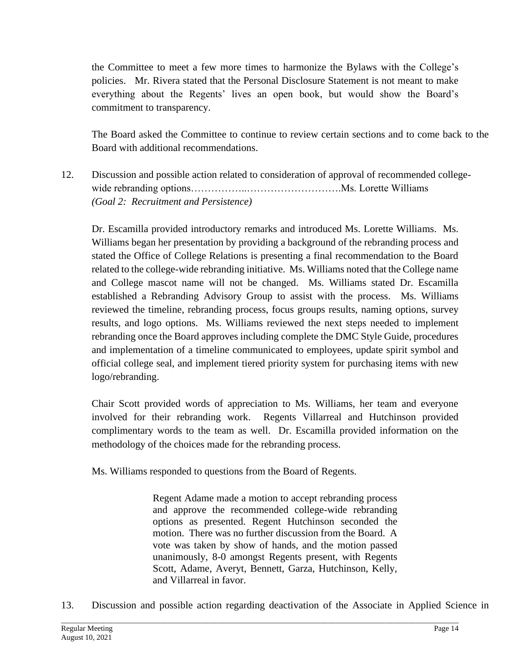the Committee to meet a few more times to harmonize the Bylaws with the College's policies. Mr. Rivera stated that the Personal Disclosure Statement is not meant to make everything about the Regents' lives an open book, but would show the Board's commitment to transparency.

The Board asked the Committee to continue to review certain sections and to come back to the Board with additional recommendations.

12. Discussion and possible action related to consideration of approval of recommended collegewide rebranding options…………………………………………………Ms. Lorette Williams *(Goal 2: Recruitment and Persistence)*

Dr. Escamilla provided introductory remarks and introduced Ms. Lorette Williams. Ms. Williams began her presentation by providing a background of the rebranding process and stated the Office of College Relations is presenting a final recommendation to the Board related to the college-wide rebranding initiative. Ms. Williams noted that the College name and College mascot name will not be changed. Ms. Williams stated Dr. Escamilla established a Rebranding Advisory Group to assist with the process. Ms. Williams reviewed the timeline, rebranding process, focus groups results, naming options, survey results, and logo options. Ms. Williams reviewed the next steps needed to implement rebranding once the Board approves including complete the DMC Style Guide, procedures and implementation of a timeline communicated to employees, update spirit symbol and official college seal, and implement tiered priority system for purchasing items with new logo/rebranding.

Chair Scott provided words of appreciation to Ms. Williams, her team and everyone involved for their rebranding work. Regents Villarreal and Hutchinson provided complimentary words to the team as well. Dr. Escamilla provided information on the methodology of the choices made for the rebranding process.

Ms. Williams responded to questions from the Board of Regents.

Regent Adame made a motion to accept rebranding process and approve the recommended college-wide rebranding options as presented. Regent Hutchinson seconded the motion. There was no further discussion from the Board. A vote was taken by show of hands, and the motion passed unanimously, 8-0 amongst Regents present, with Regents Scott, Adame, Averyt, Bennett, Garza, Hutchinson, Kelly, and Villarreal in favor.

13. Discussion and possible action regarding deactivation of the Associate in Applied Science in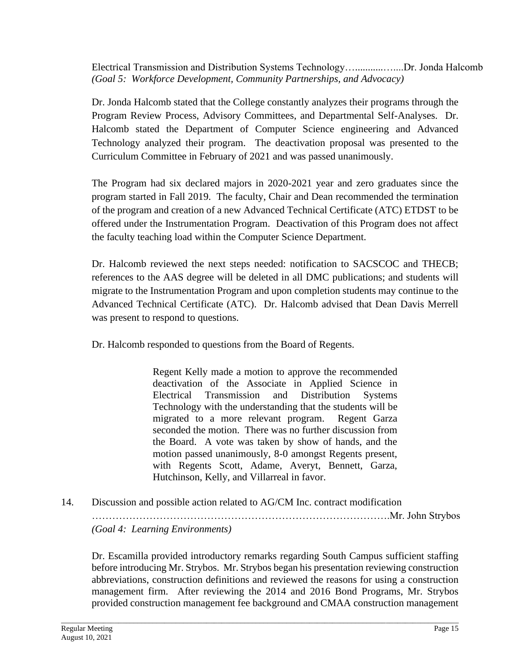Electrical Transmission and Distribution Systems Technology…...........…....Dr. Jonda Halcomb *(Goal 5: Workforce Development, Community Partnerships, and Advocacy)*

Dr. Jonda Halcomb stated that the College constantly analyzes their programs through the Program Review Process, Advisory Committees, and Departmental Self-Analyses. Dr. Halcomb stated the Department of Computer Science engineering and Advanced Technology analyzed their program. The deactivation proposal was presented to the Curriculum Committee in February of 2021 and was passed unanimously.

The Program had six declared majors in 2020-2021 year and zero graduates since the program started in Fall 2019. The faculty, Chair and Dean recommended the termination of the program and creation of a new Advanced Technical Certificate (ATC) ETDST to be offered under the Instrumentation Program. Deactivation of this Program does not affect the faculty teaching load within the Computer Science Department.

Dr. Halcomb reviewed the next steps needed: notification to SACSCOC and THECB; references to the AAS degree will be deleted in all DMC publications; and students will migrate to the Instrumentation Program and upon completion students may continue to the Advanced Technical Certificate (ATC). Dr. Halcomb advised that Dean Davis Merrell was present to respond to questions.

Dr. Halcomb responded to questions from the Board of Regents.

Regent Kelly made a motion to approve the recommended deactivation of the Associate in Applied Science in Electrical Transmission and Distribution Systems Technology with the understanding that the students will be migrated to a more relevant program. Regent Garza seconded the motion. There was no further discussion from the Board. A vote was taken by show of hands, and the motion passed unanimously, 8-0 amongst Regents present, with Regents Scott, Adame, Averyt, Bennett, Garza, Hutchinson, Kelly, and Villarreal in favor.

14. Discussion and possible action related to AG/CM Inc. contract modification …………………………………………………………………………….Mr. John Strybos *(Goal 4: Learning Environments)*

Dr. Escamilla provided introductory remarks regarding South Campus sufficient staffing before introducing Mr. Strybos. Mr. Strybos began his presentation reviewing construction abbreviations, construction definitions and reviewed the reasons for using a construction management firm. After reviewing the 2014 and 2016 Bond Programs, Mr. Strybos provided construction management fee background and CMAA construction management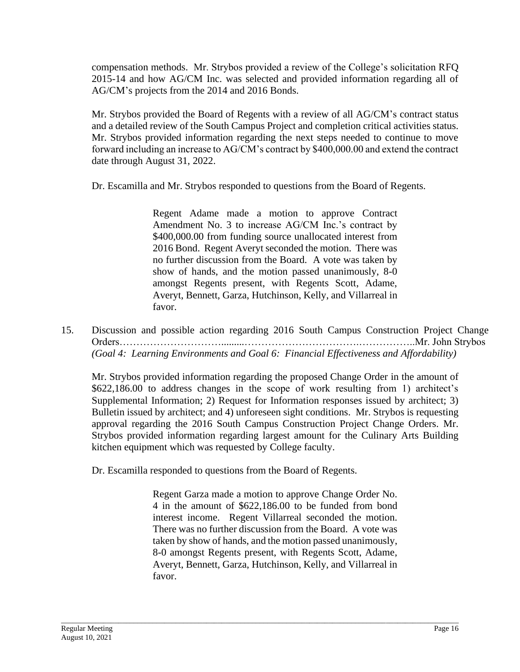compensation methods. Mr. Strybos provided a review of the College's solicitation RFQ 2015-14 and how AG/CM Inc. was selected and provided information regarding all of AG/CM's projects from the 2014 and 2016 Bonds.

Mr. Strybos provided the Board of Regents with a review of all AG/CM's contract status and a detailed review of the South Campus Project and completion critical activities status. Mr. Strybos provided information regarding the next steps needed to continue to move forward including an increase to AG/CM's contract by \$400,000.00 and extend the contract date through August 31, 2022.

Dr. Escamilla and Mr. Strybos responded to questions from the Board of Regents.

Regent Adame made a motion to approve Contract Amendment No. 3 to increase AG/CM Inc.'s contract by \$400,000.00 from funding source unallocated interest from 2016 Bond. Regent Averyt seconded the motion. There was no further discussion from the Board. A vote was taken by show of hands, and the motion passed unanimously, 8-0 amongst Regents present, with Regents Scott, Adame, Averyt, Bennett, Garza, Hutchinson, Kelly, and Villarreal in favor.

15. Discussion and possible action regarding 2016 South Campus Construction Project Change Orders………………………….........…………………………….……………..Mr. John Strybos *(Goal 4: Learning Environments and Goal 6: Financial Effectiveness and Affordability)*

Mr. Strybos provided information regarding the proposed Change Order in the amount of \$622,186.00 to address changes in the scope of work resulting from 1) architect's Supplemental Information; 2) Request for Information responses issued by architect; 3) Bulletin issued by architect; and 4) unforeseen sight conditions. Mr. Strybos is requesting approval regarding the 2016 South Campus Construction Project Change Orders. Mr. Strybos provided information regarding largest amount for the Culinary Arts Building kitchen equipment which was requested by College faculty.

Dr. Escamilla responded to questions from the Board of Regents.

Regent Garza made a motion to approve Change Order No. 4 in the amount of \$622,186.00 to be funded from bond interest income. Regent Villarreal seconded the motion. There was no further discussion from the Board. A vote was taken by show of hands, and the motion passed unanimously, 8-0 amongst Regents present, with Regents Scott, Adame, Averyt, Bennett, Garza, Hutchinson, Kelly, and Villarreal in favor.